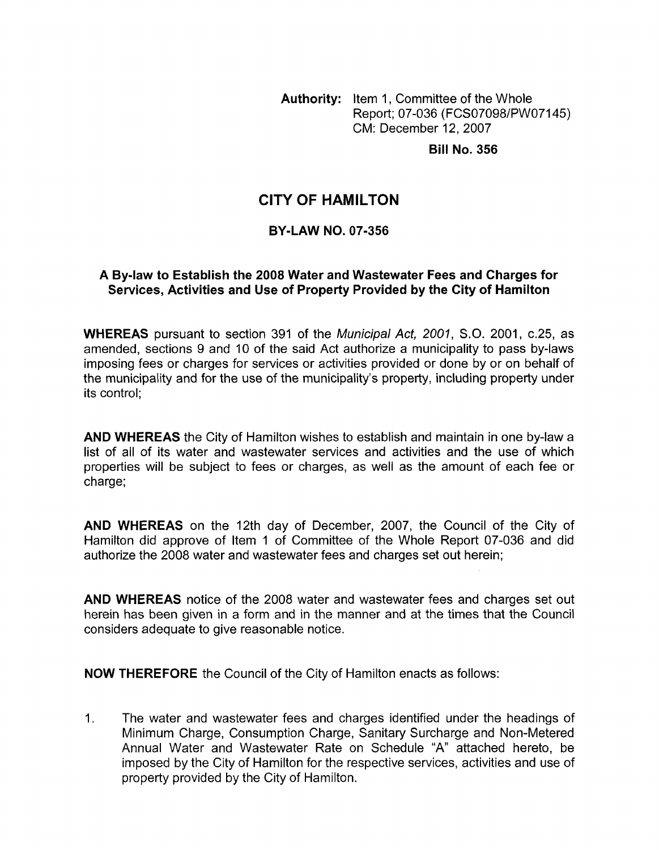**Authority:** Item 1, Committee of the Whole Report; 07-036 (FCS07098/PWO7145) CM: December 12,2007

**Bill No. 356** 

# **CITY OF HAMILTON**

#### **BY-LAW NO. 07-356**

#### **A Bylaw to Establish the 2008 Water and Wastewater Fees and Charges for Services, Activities and Use of Property Provided by the City of Hamilton**

**WHEREAS** pursuant to section 391 of the *Municipal Act, 2001, SO.* 2001, c.25, as amended, sections 9 and 10 of the said Act authorize a municipality to pass by-laws imposing fees or charges for services or activities provided or done by or on behalf of the municipality and for the use of the municipality's property, including property under its control;

**AND WHEREAS** the City of Hamilton wishes to establish and maintain in one by-law a list of all of its water and wastewater services and activities and the use of which properties will be subject to fees or charges, as well as the amount of each fee or charge;

**AND WHEREAS** on the 12th day of December, 2007, the Council of the City of Hamilton did approve of Item 1 of Committee of the Whole Report 07-036 and did authorize the 2008 water and wastewater fees and charges set out herein;

**AND WHEREAS** notice of the 2008 water and wastewater fees and charges set out herein has been given in a form and in the manner and at the times that the Council considers adequate to give reasonable notice.

**NOW THEREFORE** the Council of the City of Hamilton enacts as follows:

1. The water and wastewater fees and charges identified under the headings of Minimum Charge, Consumption Charge, Sanitary Surcharge and Non-Metered Annual Water and Wastewater Rate on Schedule "A" attached hereto, be imposed by the City of Hamilton for the respective services, activities and use of property provided by the City of Hamilton.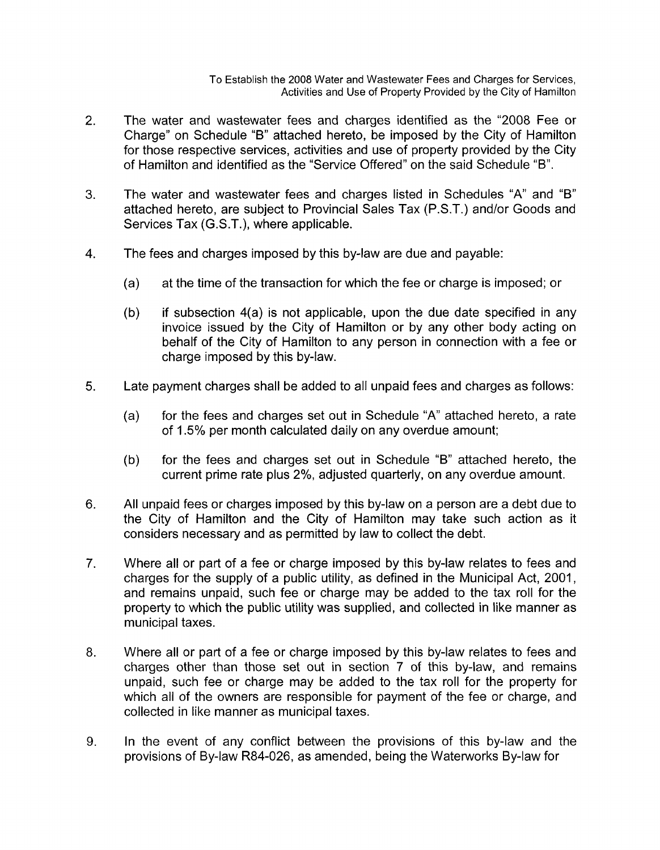To Establish the 2008 Water and Wastewater Fees and Charges for Services, Activities and Use of Property Provided by the City of Hamilton

- 2. The water and wastewater fees and charges identified as the "2008 Fee or Charge" on Schedule "B" attached hereto, be imposed by the City of Hamilton for those respective services, activities and use of property provided by the City of Hamilton and identified as the "Service Offered" on the said Schedule "B".
- *3.* The water and wastewater fees and charges listed in Schedules "A" and "B" attached hereto, are subject to Provincial Sales Tax (P.S.T.) and/or Goods and Services Tax (G.S.T.), where applicable.
- 4. The fees and charges imposed by this by-law are due and payable:
	- (a) at the time of the transaction for which the fee or charge is imposed; or
	- (b) if subsection  $4(a)$  is not applicable, upon the due date specified in any invoice issued by the City of Hamilton or by any other body acting on behalf of the City of Hamilton to any person in connection with a fee or charge imposed by this by-law.
- **5.** Late payment charges shall be added to all unpaid fees and charges as follows:
	- (a) for the fees and charges set out in Schedule "A" attached hereto, a rate of 1.5% per month calculated daily on any overdue amount;
	- (b) for the fees and charges set out in Schedule "B" attached hereto, the current prime rate plus 2%, adjusted quarterly, on any overdue amount.
- 6. All unpaid fees or charges imposed by this by-law on a person are a debt due to the City of Hamilton and the City of Hamilton may take such action as it considers necessary and as permitted by law to collect the debt.
- 7. Where all or part of a fee or charge imposed by this by-law relates to fees and charges for the supply of a public utility, as defined in the Municipal Act, 2001, and remains unpaid, such fee or charge may be added to the tax roll for the property to which the public utility was supplied, and collected in like manner as municipal taxes.
- 8. Where all or part of a fee or charge imposed by this by-law relates to fees and charges other than those set out in section 7 of this by-law, and remains unpaid, such fee or charge may be added to the tax roll for the property for which all of the owners are responsible for payment of the fee or charge, and collected in like manner as municipal taxes.
- 9. In the event of any conflict between the provisions of this by-law and the provisions of By-law R84-026, as amended, being the Waterworks By-law for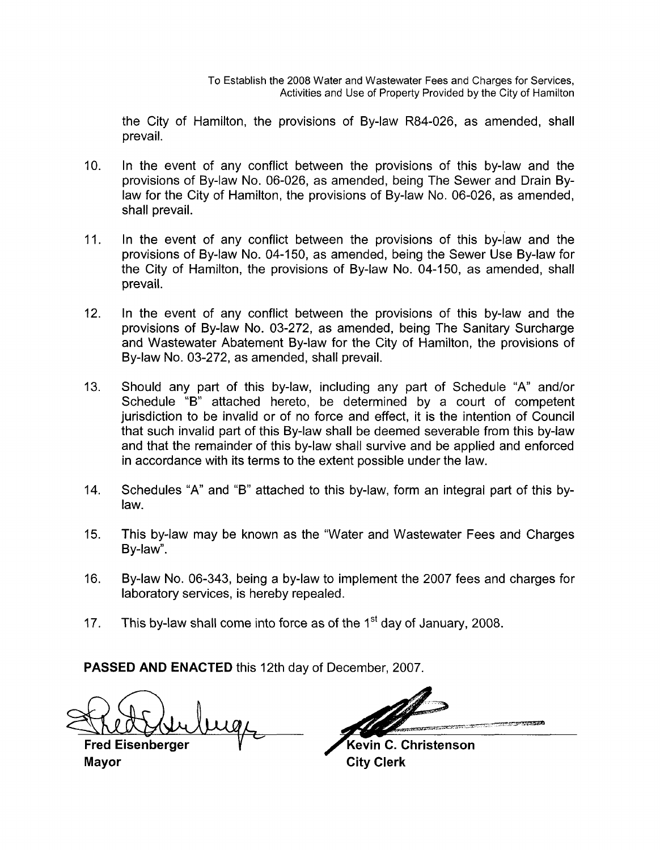the City of Hamilton, the provisions of By-law R84-026, as amended, shall prevail.

- 10. In the event of any conflict between the provisions of this by-law and the provisions of By-law No. 06-026, as amended, being The Sewer and Drain Bylaw for the City of Hamilton, the provisions of By-law No. 06-026, as amended, shall prevail.
- 11. In the event of any conflict between the provisions of this by-law and the provisions of By-law No. 04-150, as amended, being the Sewer Use By-law for the City of Hamilton, the provisions of By-law No. 04-150, as amended, shall prevail.
- 12. In the event of any conflict between the provisions of this by-law and the provisions of By-law No. 03-272, as amended, being The Sanitary Surcharge and Wastewater Abatement By-law for the City of Hamilton, the provisions of By-law No. 03-272, as amended, shall prevail.
- 13. Should any part of this by-law, including any part of Schedule "A" and/or Schedule "B" attached hereto, be determined by a court of competent jurisdiction to be invalid or of no force and effect, it is the intention of Council that such invalid part of this By-law shall be deemed severable from this by-law and that the remainder of this by-law shall survive and be applied and enforced in accordance with its terms to the extent possible under the law.
- 14. Schedules "A" and "B" attached to this by-law, form an integral part of this bylaw.
- 15. This by-law may be known as the "Water and Wastewater Fees and Charges By-law".
- 16. By-law No. 06-343, being a by-law to implement the 2007 fees and charges for laboratory services, is hereby repealed.
- 17. This by-law shall come into force as of the 1<sup>st</sup> day of January, 2008.

**PASSED AND ENACTED** this 12th day of December, 2007

 $\not\cong$ 

**Fred Eisenberger** V" **Mayor** City Clerk

11

Kevin C. Christenson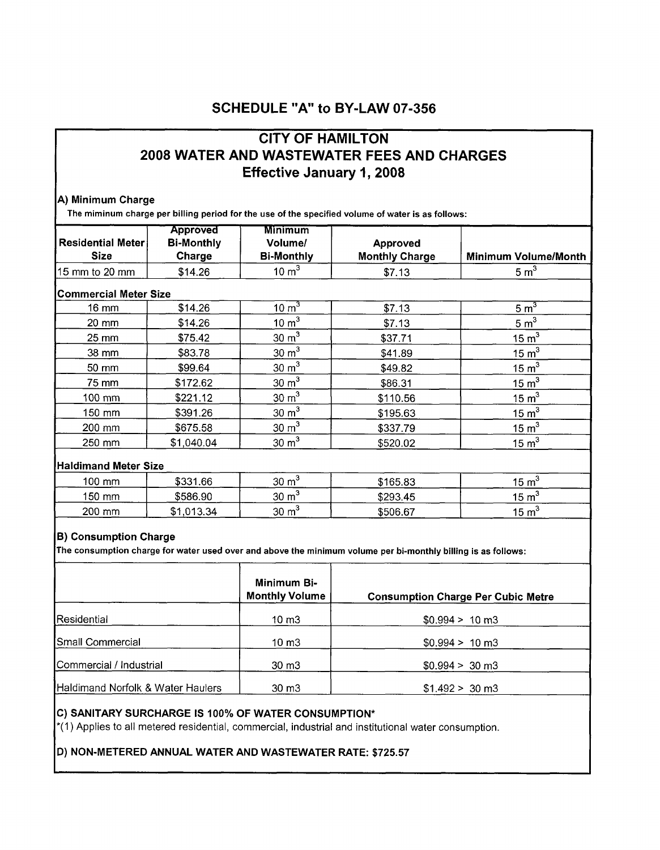# **SCHEDULE "A" to BY-LAW 07-356**

# **CITY OF HAMILTON** 2008 WATER AND WASTEWATER FEES AND CHARGES **Effective January 1, 2008**

#### A) Minimum Charge

The miminum charge per billing period for the use of the specified volume of water is as follows:

| <b>Residential Meter</b>     | <b>Approved</b><br><b>Bi-Monthly</b> | <b>Minimum</b><br>Volume/ | Approved              |                             |
|------------------------------|--------------------------------------|---------------------------|-----------------------|-----------------------------|
| <b>Size</b>                  | Charge                               | <b>Bi-Monthly</b>         | <b>Monthly Charge</b> | <b>Minimum Volume/Month</b> |
| 15 mm to 20 mm               | \$14.26                              | $10 \text{ m}^3$          | \$7.13                | $5 \text{ m}^3$             |
| <b>Commercial Meter Size</b> |                                      |                           |                       |                             |
| 16 mm                        | \$14.26                              | $10 \text{ m}^3$          | \$7.13                | 5 m <sup>3</sup>            |
| 20 mm                        | \$14.26                              | 10 m <sup>3</sup>         | \$7.13                | 5 m <sup>3</sup>            |
| 25 mm                        | \$75.42                              | $30 \text{ m}^3$          | \$37.71               | 15 m <sup>3</sup>           |
| 38 mm                        | \$83.78                              | $30 \text{ m}^3$          | \$41.89               | 15 m <sup>3</sup>           |
| 50 mm                        | \$99.64                              | $30 \text{ m}^3$          | \$49.82               | 15 m <sup>3</sup>           |
| 75 mm                        | \$172.62                             | $30 \text{ m}^3$          | \$86.31               | $15 \text{ m}^3$            |
| 100 mm                       | \$221.12                             | $30 \text{ m}^3$          | \$110.56              | 15 m <sup>3</sup>           |
| 150 mm                       | \$391.26                             | $30 \text{ m}^3$          | \$195.63              | 15 m <sup>3</sup>           |
| 200 mm                       | \$675.58                             | 30 m <sup>3</sup>         | \$337.79              | $15 \text{ m}^3$            |
| 250 mm                       | \$1,040.04                           | $30 \text{ m}^3$          | \$520.02              | 15 m <sup>3</sup>           |
|                              | <b>Haldimand Meter Size</b>          |                           |                       |                             |
| 100 mm                       | \$331.66                             | $30 \text{ m}^3$          | \$165.83              | 15 m <sup>3</sup>           |
| 150 mm                       | \$586.90                             | $30 \text{ m}^3$          | \$293.45              | 15 m <sup>3</sup>           |
| 200 mm                       | \$1,013.34                           | $30 \text{ m}^3$          | \$506.67              | 15 m <sup>3</sup>           |
|                              |                                      |                           |                       |                             |

#### **B**) Consumption Charge

**I** 

The consumption charge for water used over and above the minimum volume per bi-monthly billing is as follows:

|                                   | Minimum Bi-<br><b>Monthly Volume</b> | <b>Consumption Charge Per Cubic Metre</b> |
|-----------------------------------|--------------------------------------|-------------------------------------------|
| Residential                       | 10 m3                                | $$0.994 > 10 \text{ m}3$                  |
| Small Commercial                  | 10 m3                                | $$0.994 > 10 \text{ m}3$                  |
| Commercial / Industrial           | $30 \text{ m}$                       | $$0.994 > 30 \text{ m}3$                  |
| Haldimand Norfolk & Water Haulers | 30 <sub>mm</sub>                     | $$1.492 > 30 \text{ m}3$                  |

#### C) SANITARY SURCHARGE IS 100% OF WATER CONSUMPTION\*

\*(1) Applies to all metered residential, commercial, industrial and institutional water consumption.

#### D) NON-METERED ANNUAL WATER AND WASTEWATER RATE: \$725.57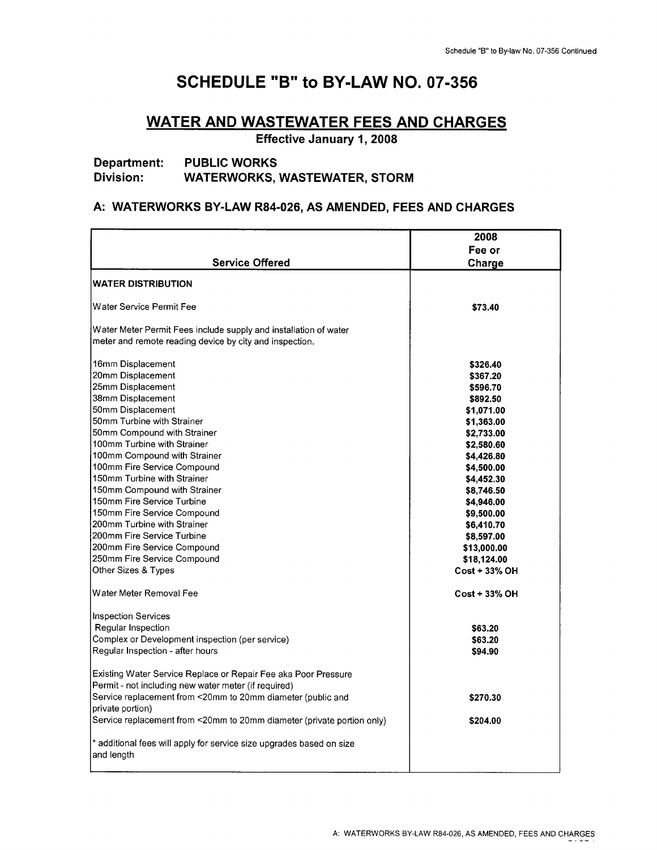# **SCHEDULE "B" to BY-LAW NO. 07-356**

### **WATER AND WASTEWATER FEES AND CHARGES**

**Effective January 1,2008** 

#### **Department: PUBLIC WORKS Division: WATERWORKS, WASTEWATER, STORM**

#### **A: WATERWORKS BY-LAW R84-026, AS AMENDED, FEES AND CHARGES**

|                                                                                    | 2008                 |
|------------------------------------------------------------------------------------|----------------------|
|                                                                                    | Fee or               |
| <b>Service Offered</b>                                                             | Charge               |
| <b>WATER DISTRIBUTION</b>                                                          |                      |
|                                                                                    |                      |
| Water Service Permit Fee                                                           | \$73.40              |
| Water Meter Permit Fees include supply and installation of water                   |                      |
| meter and remote reading device by city and inspection.                            |                      |
| 16mm Displacement                                                                  | \$326.40             |
| 20mm Displacement                                                                  | \$367.20             |
| 25mm Displacement                                                                  | \$596.70             |
| 38mm Displacement                                                                  | \$892.50             |
| 50mm Displacement                                                                  | \$1,071.00           |
| 50mm Turbine with Strainer                                                         | \$1,363.00           |
| 50mm Compound with Strainer                                                        | \$2,733.00           |
| 100mm Turbine with Strainer                                                        | \$2.580.60           |
| 100mm Compound with Strainer                                                       | \$4,426.80           |
| 100mm Fire Service Compound                                                        | \$4,500.00           |
| 150mm Turbine with Strainer                                                        | \$4,452.30           |
| 150mm Compound with Strainer                                                       | \$8,746.50           |
| 150mm Fire Service Turbine                                                         | \$4,946.00           |
| 150mm Fire Service Compound                                                        | \$9,500.00           |
| 200mm Turbine with Strainer                                                        | \$6,410.70           |
| 200mm Fire Service Turbine                                                         | \$8,597.00           |
| 200mm Fire Service Compound                                                        | \$13,000.00          |
| 250mm Fire Service Compound                                                        | \$18,124.00          |
| Other Sizes & Types                                                                | <b>Cost + 33% OH</b> |
| Water Meter Removal Fee                                                            | <b>Cost + 33% OH</b> |
| <b>Inspection Services</b>                                                         |                      |
| Regular Inspection                                                                 | \$63.20              |
| Complex or Development inspection (per service)                                    | \$63.20              |
| Regular Inspection - after hours                                                   | \$94.90              |
| Existing Water Service Replace or Repair Fee aka Poor Pressure                     |                      |
| Permit - not including new water meter (if required)                               |                      |
| Service replacement from <20mm to 20mm diameter (public and<br>private portion)    | \$270.30             |
| Service replacement from <20mm to 20mm diameter (private portion only)             | \$204.00             |
|                                                                                    |                      |
| * additional fees will apply for service size upgrades based on size<br>and length |                      |
|                                                                                    |                      |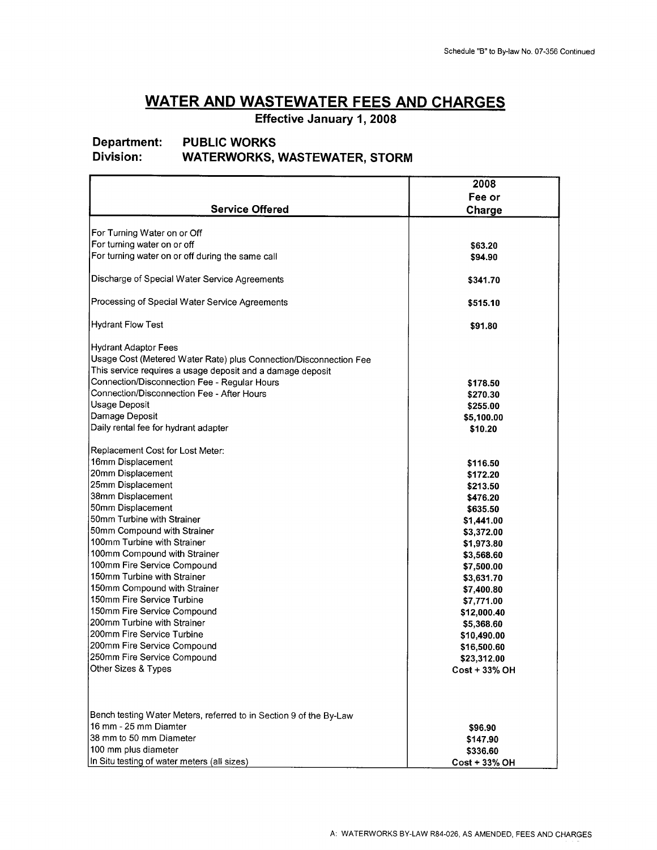**Effective January 1, 2008** 

# **Department: PUBLIC WORKS<br>Division: WATERWORKS.**

### **Division: WATERWORKS, WASTEWATER, STORM**

|                                                                    | 2008                     |
|--------------------------------------------------------------------|--------------------------|
|                                                                    | Fee or                   |
| <b>Service Offered</b>                                             | Charge                   |
|                                                                    |                          |
| For Turning Water on or Off                                        |                          |
| For turning water on or off                                        | \$63.20                  |
| For turning water on or off during the same call                   | \$94.90                  |
|                                                                    |                          |
| Discharge of Special Water Service Agreements                      | \$341.70                 |
|                                                                    |                          |
| Processing of Special Water Service Agreements                     | \$515.10                 |
| <b>Hydrant Flow Test</b>                                           |                          |
|                                                                    | \$91.80                  |
| Hydrant Adaptor Fees                                               |                          |
| Usage Cost (Metered Water Rate) plus Connection/Disconnection Fee  |                          |
| This service requires a usage deposit and a damage deposit         |                          |
| Connection/Disconnection Fee - Regular Hours                       | \$178.50                 |
| Connection/Disconnection Fee - After Hours                         | \$270.30                 |
| Usage Deposit                                                      | \$255.00                 |
| Damage Deposit                                                     | \$5,100.00               |
| Daily rental fee for hydrant adapter                               | \$10.20                  |
|                                                                    |                          |
| Replacement Cost for Lost Meter:                                   |                          |
| 16mm Displacement                                                  | \$116.50                 |
| 20mm Displacement                                                  | \$172.20                 |
| 25mm Displacement                                                  | \$213.50                 |
| 38mm Displacement                                                  | \$476.20                 |
| 50mm Displacement                                                  | \$635.50                 |
| 50mm Turbine with Strainer                                         | \$1,441.00               |
| 50mm Compound with Strainer                                        | \$3,372.00               |
| 100mm Turbine with Strainer                                        | \$1,973.80               |
| 100mm Compound with Strainer<br>100mm Fire Service Compound        | \$3,568.60               |
| 150mm Turbine with Strainer                                        | \$7,500.00               |
| 150mm Compound with Strainer                                       | \$3,631.70               |
| 150mm Fire Service Turbine                                         | \$7,400.80<br>\$7,771.00 |
| 150mm Fire Service Compound                                        | \$12,000.40              |
| 200mm Turbine with Strainer                                        | \$5,368.60               |
| 200mm Fire Service Turbine                                         | \$10,490.00              |
| 200mm Fire Service Compound                                        | \$16,500.60              |
| 250mm Fire Service Compound                                        | \$23,312.00              |
| Other Sizes & Types                                                | <b>Cost + 33% OH</b>     |
|                                                                    |                          |
|                                                                    |                          |
|                                                                    |                          |
| Bench testing Water Meters, referred to in Section 9 of the By-Law |                          |
| 16 mm - 25 mm Diamter                                              | \$96.90                  |
| 38 mm to 50 mm Diameter                                            | \$147.90                 |
| 100 mm plus diameter                                               | \$336.60                 |
| In Situ testing of water meters (all sizes)                        | <b>Cost + 33% OH</b>     |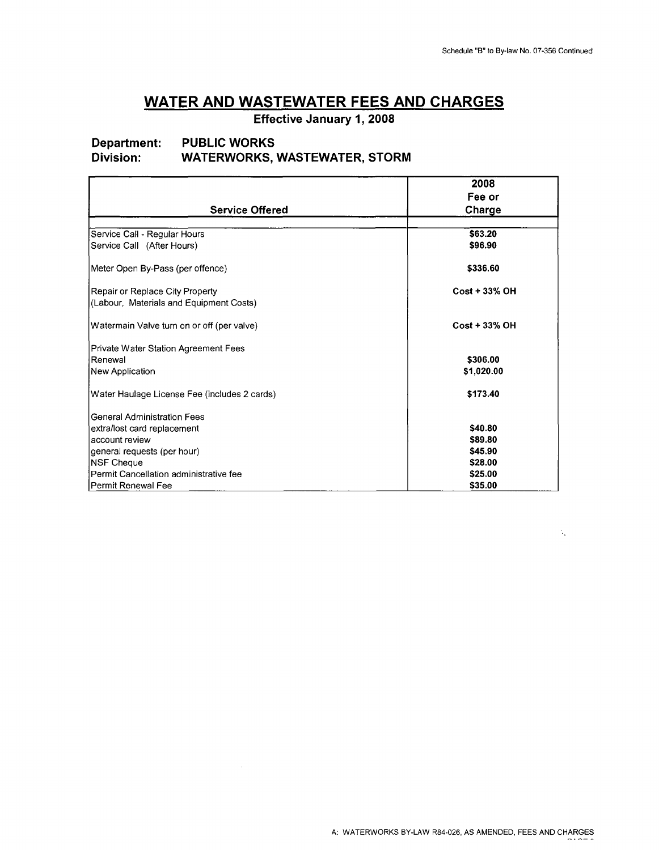$\mathcal{N}_{\mathcal{A}}$ 

# **WATER AND WASTEWATER FEES AND CHARGES**

**Effective January 1, 2008** 

# **Department: PUBLIC WORKS<br>Division: WATERWORKS.**

#### **Division: WATERWORKS, WASTEWATER, STORM**

 $\sim$   $\sim$ 

|                                              | 2008                 |
|----------------------------------------------|----------------------|
|                                              | Fee or               |
| <b>Service Offered</b>                       | Charge               |
|                                              |                      |
| Service Call - Regular Hours                 | \$63.20              |
| Service Call (After Hours)                   | \$96.90              |
| Meter Open By-Pass (per offence)             | \$336.60             |
| Repair or Replace City Property              | $Cost + 33\%$ OH     |
| (Labour, Materials and Equipment Costs)      |                      |
| Watermain Valve turn on or off (per valve)   | <b>Cost + 33% OH</b> |
| Private Water Station Agreement Fees         |                      |
| Renewal                                      | \$306.00             |
| New Application                              | \$1,020.00           |
| Water Haulage License Fee (includes 2 cards) | \$173.40             |
| <b>General Administration Fees</b>           |                      |
| extra/lost card replacement                  | \$40.80              |
| account review                               | \$89.80              |
| general requests (per hour)                  | \$45.90              |
| <b>NSF Cheque</b>                            | \$28.00              |
| Permit Cancellation administrative fee       | \$25.00              |
| lPermit Renewal Fee                          | \$35.00              |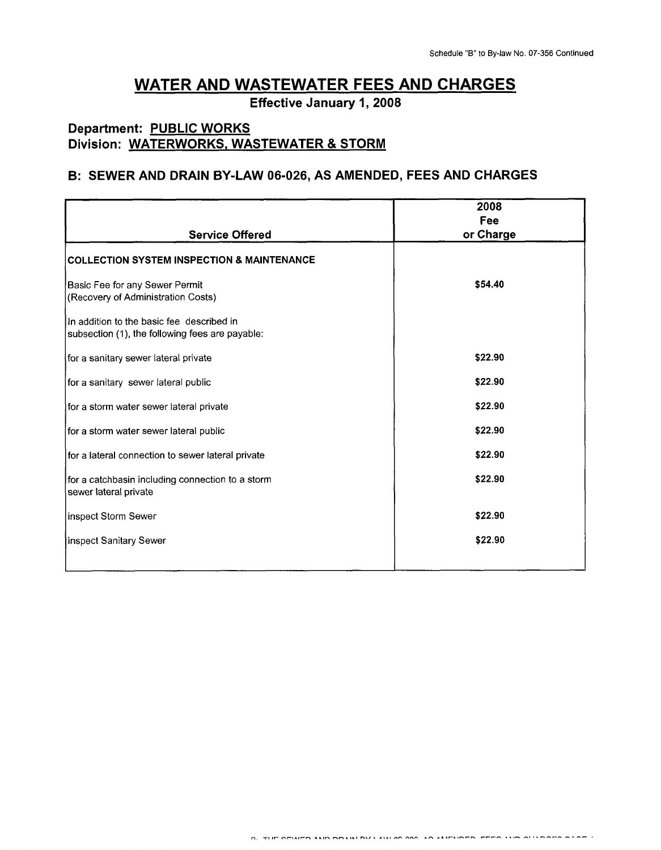**Effective January 1, 2008** 

## **Department: PUBLIC WORKS Division: WATERWORKS, WASTEWATER** & **STORM**

#### **B: SEWER AND DRAIN BY-LAW 06-026, AS AMENDED, FEES AND CHARGES**

|                                                                                              | 2008<br>Fee |
|----------------------------------------------------------------------------------------------|-------------|
| <b>Service Offered</b>                                                                       | or Charge   |
| <b>COLLECTION SYSTEM INSPECTION &amp; MAINTENANCE</b>                                        |             |
| Basic Fee for any Sewer Permit<br>(Recovery of Administration Costs)                         | \$54.40     |
| In addition to the basic fee described in<br>subsection (1), the following fees are payable: |             |
| for a sanitary sewer lateral private                                                         | \$22.90     |
| for a sanitary sewer lateral public                                                          | \$22.90     |
| for a storm water sewer lateral private                                                      | \$22.90     |
| for a storm water sewer lateral public                                                       | \$22.90     |
| for a lateral connection to sewer lateral private                                            | \$22.90     |
| for a catchbasin including connection to a storm<br>sewer lateral private                    | \$22.90     |
| inspect Storm Sewer                                                                          | \$22.90     |
| inspect Sanitary Sewer                                                                       | \$22.90     |
|                                                                                              |             |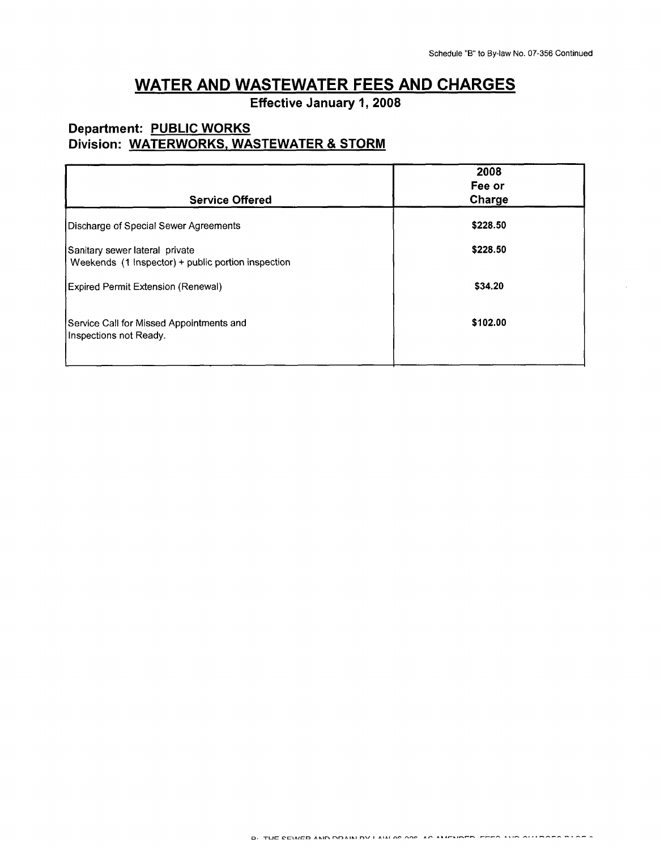**Effective January 1, 2008** 

### **Department: PUBLIC WORKS Division: WATERWORKS, WASTEWATER** & **STORM**

| <b>Service Offered</b>                                                               | 2008<br>Fee or<br>Charge |
|--------------------------------------------------------------------------------------|--------------------------|
| Discharge of Special Sewer Agreements                                                | \$228.50                 |
| Sanitary sewer lateral private<br>Weekends (1 Inspector) + public portion inspection | \$228.50                 |
| Expired Permit Extension (Renewal)                                                   | \$34.20                  |
| Service Call for Missed Appointments and<br>Inspections not Ready.                   | \$102.00                 |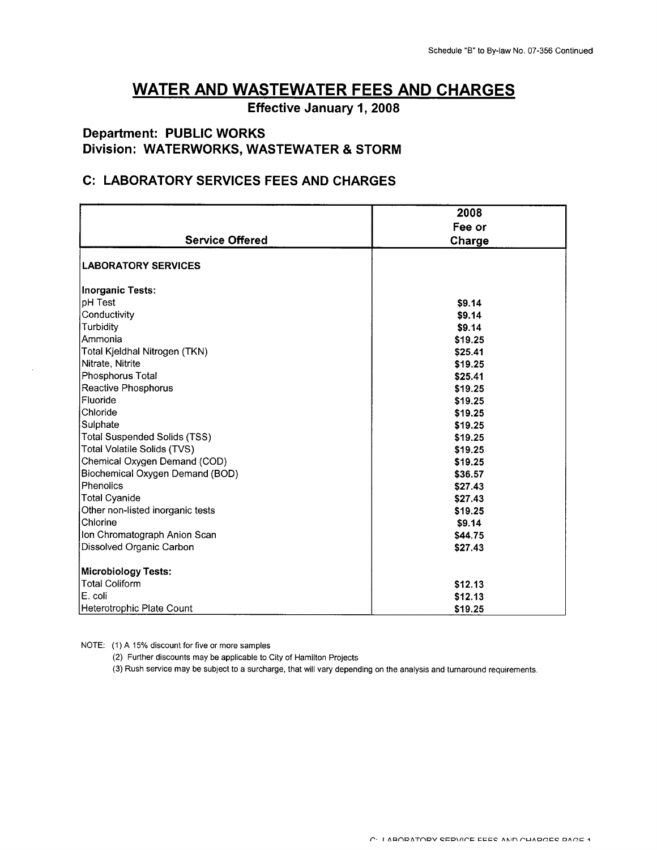**Effective January 1, 2008** 

#### **Department: PUBLIC WORKS Division: WATERWORKS, WASTEWATER** & **STORM**

#### **C: LABORATORY SERVICES FEES AND CHARGES**

|                                     | 2008    |
|-------------------------------------|---------|
|                                     | Fee or  |
| <b>Service Offered</b>              | Charge  |
| <b>LABORATORY SERVICES</b>          |         |
| <b>Inorganic Tests:</b>             |         |
| pH Test                             | \$9.14  |
| Conductivity                        | \$9.14  |
| Turbidity                           | \$9.14  |
| Ammonia                             | \$19.25 |
| Total Kjeldhal Nitrogen (TKN)       | \$25.41 |
| Nitrate, Nitrite                    | \$19.25 |
| Phosphorus Total                    | \$25.41 |
| Reactive Phosphorus                 | \$19.25 |
| Fluoride                            | \$19.25 |
| Chloride                            | \$19.25 |
| Sulphate                            | \$19.25 |
| <b>Total Suspended Solids (TSS)</b> | \$19.25 |
| Total Volatile Solids (TVS)         | \$19.25 |
| Chemical Oxygen Demand (COD)        | \$19.25 |
| Biochemical Oxygen Demand (BOD)     | \$36.57 |
| Phenolics                           | \$27.43 |
| <b>Total Cyanide</b>                | \$27.43 |
| Other non-listed inorganic tests    | \$19.25 |
| Chlorine                            | \$9.14  |
| Ion Chromatograph Anion Scan        | \$44.75 |
| Dissolved Organic Carbon            | \$27.43 |
| <b>Microbiology Tests:</b>          |         |
| <b>Total Coliform</b>               | \$12.13 |
| E. coli                             | \$12.13 |
| Heterotrophic Plate Count           | \$19.25 |

NOTE: (1) **A** 15% discount for five or more samples

(2) Further discounts may be applicable to City of Hamilton Projects

(3) Rush service may be subject to a surcharge, that will vary depending on the analysis and turnaround requirements.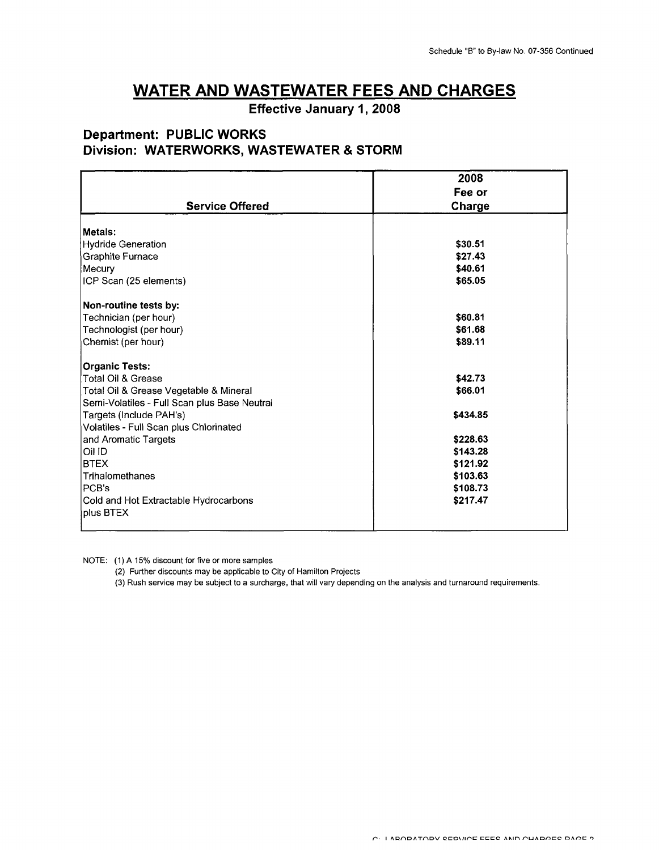**Effective January 1, 2008** 

### **Department: PUBLIC WORKS Division: WATERWORKS, WASTEWATER** & **STORM**

|                                              | 2008     |
|----------------------------------------------|----------|
|                                              | Fee or   |
| <b>Service Offered</b>                       | Charge   |
| Metals:                                      |          |
| <b>Hydride Generation</b>                    | \$30.51  |
| <b>Graphite Furnace</b>                      | \$27.43  |
| Mecury                                       | \$40.61  |
| ICP Scan (25 elements)                       | \$65.05  |
| Non-routine tests by:                        |          |
| Technician (per hour)                        | \$60.81  |
| Technologist (per hour)                      | \$61.68  |
| Chemist (per hour)                           | \$89.11  |
| <b>Organic Tests:</b>                        |          |
| <b>Total Oil &amp; Grease</b>                | \$42.73  |
| Total Oil & Grease Vegetable & Mineral       | \$66.01  |
| Semi-Volatiles - Full Scan plus Base Neutral |          |
| Targets (Include PAH's)                      | \$434.85 |
| Volatiles - Full Scan plus Chlorinated       |          |
| and Aromatic Targets                         | \$228.63 |
| Oil ID                                       | \$143.28 |
| <b>BTEX</b>                                  | \$121.92 |
| Trihalomethanes                              | \$103.63 |
| PCB's                                        | \$108.73 |
| Cold and Hot Extractable Hydrocarbons        | \$217.47 |
| plus BTEX                                    |          |

NOTE: (1) **A** 15% discount for five or more samples

**I** 

(2) Further discounts may be applicable to City of Hamilton Projects

(3) Rush service may be subject to **a** surcharge, that will vary depending on the analysis and turnaround requirements.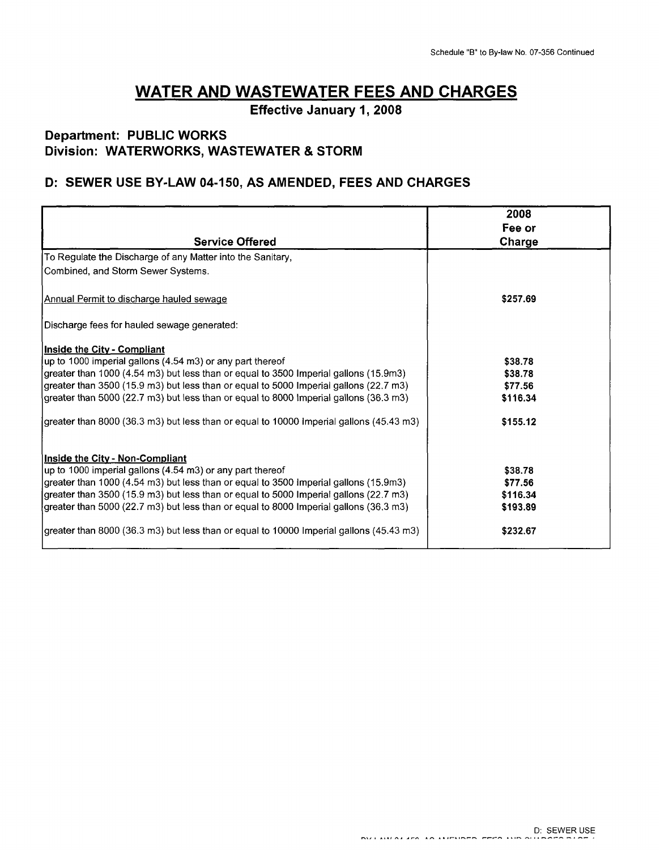**Effective January 1,2008** 

### **Department: PUBLIC WORKS Division: WATERWORKS, WASTEWATER** & **STORM**

### **D: SEWER USE BY-LAW 04-150, AS AMENDED, FEES AND CHARGES**

|                                                                                         | 2008     |
|-----------------------------------------------------------------------------------------|----------|
|                                                                                         | Fee or   |
| <b>Service Offered</b>                                                                  | Charge   |
| To Regulate the Discharge of any Matter into the Sanitary,                              |          |
| Combined, and Storm Sewer Systems.                                                      |          |
| Annual Permit to discharge hauled sewage                                                | \$257.69 |
| Discharge fees for hauled sewage generated:                                             |          |
| Inside the City - Compliant                                                             |          |
| up to 1000 imperial gallons (4.54 m3) or any part thereof                               | \$38.78  |
| greater than 1000 (4.54 m3) but less than or equal to 3500 Imperial gallons (15.9m3)    | \$38.78  |
| greater than 3500 (15.9 m3) but less than or equal to 5000 Imperial gallons (22.7 m3)   | \$77.56  |
| greater than 5000 (22.7 m3) but less than or equal to 8000 Imperial gallons (36.3 m3)   | \$116.34 |
| greater than 8000 (36.3 m3) but less than or equal to 10000 imperial gallons (45.43 m3) | \$155.12 |
| Inside the City - Non-Compliant                                                         |          |
| up to 1000 imperial gallons (4.54 m3) or any part thereof                               | \$38.78  |
| greater than 1000 (4.54 m3) but less than or equal to 3500 Imperial gallons (15.9m3)    | \$77.56  |
| greater than 3500 (15.9 m3) but less than or equal to 5000 Imperial gallons (22.7 m3)   | \$116.34 |
| (greater than 5000 (22.7 m3) but less than or equal to 8000 Imperial gallons (36.3 m3)  | \$193.89 |
| greater than 8000 (36.3 m3) but less than or equal to 10000 Imperial gallons (45.43 m3) | \$232.67 |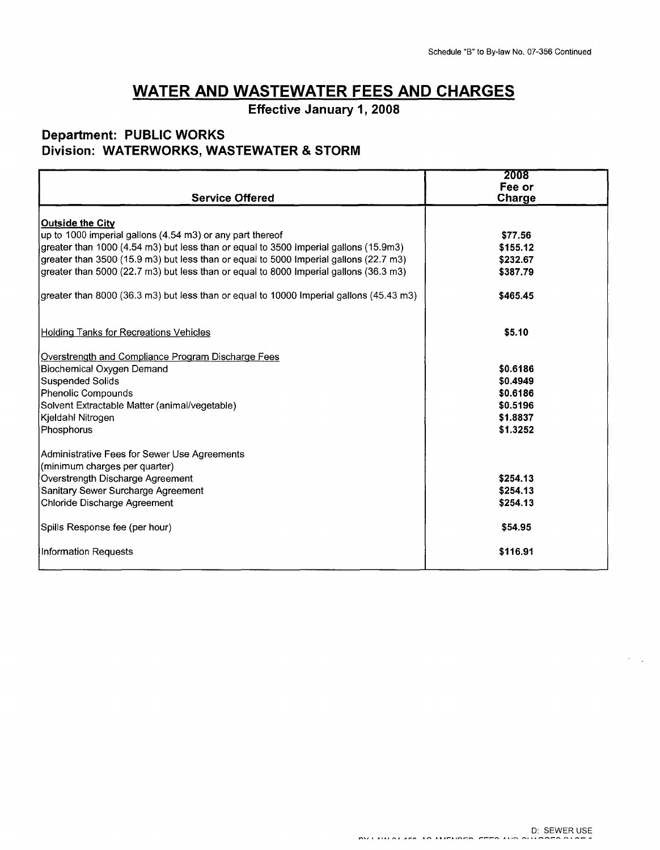**Effective January 1, 2008** 

#### **Department: PUBLIC WORKS Division: WATERWORKS, WASTEWATER** & **STORM**

|                                                                                         | 2008          |
|-----------------------------------------------------------------------------------------|---------------|
|                                                                                         | Fee or        |
| <b>Service Offered</b>                                                                  | <b>Charge</b> |
| Outside the City                                                                        |               |
| up to 1000 imperial gallons (4.54 m3) or any part thereof                               | \$77.56       |
| greater than 1000 (4.54 m3) but less than or equal to 3500 imperial gallons (15.9m3)    | \$155.12      |
| greater than 3500 (15.9 m3) but less than or equal to 5000 Imperial gallons (22.7 m3)   | \$232.67      |
| greater than 5000 (22.7 m3) but less than or equal to 8000 Imperial gallons (36.3 m3)   | \$387.79      |
|                                                                                         |               |
| greater than 8000 (36.3 m3) but less than or equal to 10000 Imperial gallons (45.43 m3) | \$465.45      |
|                                                                                         |               |
|                                                                                         |               |
| <b>Holding Tanks for Recreations Vehicles</b>                                           | \$5.10        |
|                                                                                         |               |
| Overstrength and Compliance Program Discharge Fees                                      | \$0.6186      |
| Biochemical Oxygen Demand<br><b>Suspended Solids</b>                                    | \$0.4949      |
| Phenolic Compounds                                                                      | \$0.6186      |
| Solvent Extractable Matter (animal/vegetable)                                           | \$0.5196      |
| Kjeldahl Nitrogen                                                                       | \$1.8837      |
| Phosphorus                                                                              | \$1.3252      |
|                                                                                         |               |
| Administrative Fees for Sewer Use Agreements                                            |               |
| (minimum charges per quarter)                                                           |               |
| Overstrength Discharge Agreement                                                        | \$254.13      |
| Sanitary Sewer Surcharge Agreement                                                      | \$254.13      |
| Chloride Discharge Agreement                                                            | \$254.13      |
|                                                                                         |               |
| Spills Response fee (per hour)                                                          | \$54.95       |
|                                                                                         |               |
| Information Requests                                                                    | \$116.91      |
|                                                                                         |               |